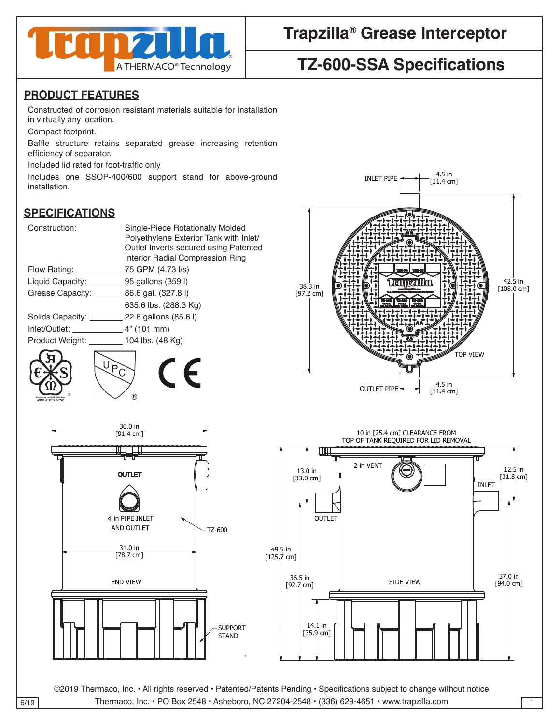

## **Trapzilla® Grease Interceptor**

# **TZ-600-SSA Specifications**

#### **PRODUCT FEATURES**

Constructed of corrosion resistant materials suitable for installation in virtually any location.

Compact footprint.

Baffle structure retains separated grease increasing retention efficiency of separator.

Included lid rated for foot-traffic only 4

Includes one SSOP-400/600 support stand for above-ground installation.

#### **SPECIFICATIONS**

| Construction:                                    | Single-Piece Rotationally Molded<br>Polyethylene Exterior Tank with Inlet/ |
|--------------------------------------------------|----------------------------------------------------------------------------|
|                                                  | Outlet Inverts secured using Patented<br>Interior Radial Compression Ring  |
| Flow Rating: _________                           | __ 75 GPM (4.73 I/s)                                                       |
| Liquid Capacity: ____________ 95 gallons (359 l) |                                                                            |
| Grease Capacity: __________ 86.6 gal. (327.8 l)  |                                                                            |
|                                                  | 635.6 lbs. (288.3 Kg)                                                      |
|                                                  | Solids Capacity: 22.6 gallons (85.6 l)                                     |
|                                                  |                                                                            |
| Product Weight: 104 lbs. (48 Kg)                 |                                                                            |
|                                                  |                                                                            |







©2019 Thermaco, Inc. • All rights reserved • Patented/Patents Pending • Specifications subject to change without notice  $\overline{6/19}$  Thermaco, Inc. • PO Box 2548 • Asheboro, NC 27204-2548 • (336) 629-4651 • www.trapzilla.com 1

36.5 in

 $\mathbb{R}$